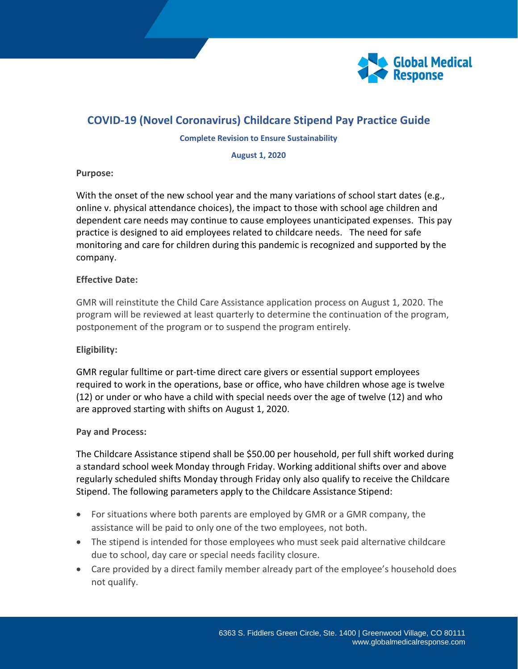

# **COVID-19 (Novel Coronavirus) Childcare Stipend Pay Practice Guide**

#### **Complete Revision to Ensure Sustainability**

**August 1, 2020**

### **Purpose:**

With the onset of the new school year and the many variations of school start dates (e.g., online v. physical attendance choices), the impact to those with school age children and dependent care needs may continue to cause employees unanticipated expenses. This pay practice is designed to aid employees related to childcare needs. The need for safe monitoring and care for children during this pandemic is recognized and supported by the company.

### **Effective Date:**

GMR will reinstitute the Child Care Assistance application process on August 1, 2020. The program will be reviewed at least quarterly to determine the continuation of the program, postponement of the program or to suspend the program entirely.

# **Eligibility:**

GMR regular fulltime or part-time direct care givers or essential support employees required to work in the operations, base or office, who have children whose age is twelve (12) or under or who have a child with special needs over the age of twelve (12) and who are approved starting with shifts on August 1, 2020.

# **Pay and Process:**

The Childcare Assistance stipend shall be \$50.00 per household, per full shift worked during a standard school week Monday through Friday. Working additional shifts over and above regularly scheduled shifts Monday through Friday only also qualify to receive the Childcare Stipend. The following parameters apply to the Childcare Assistance Stipend:

- For situations where both parents are employed by GMR or a GMR company, the assistance will be paid to only one of the two employees, not both.
- The stipend is intended for those employees who must seek paid alternative childcare due to school, day care or special needs facility closure.
- Care provided by a direct family member already part of the employee's household does not qualify.